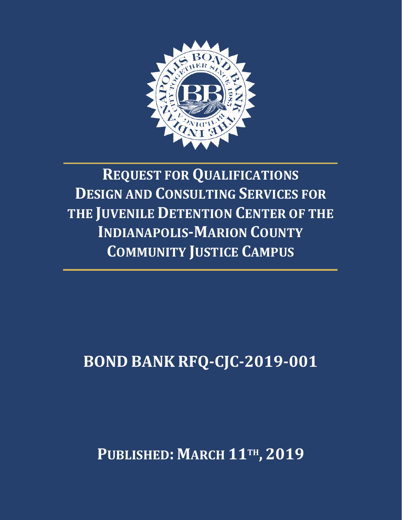

# **REQUEST FOR QUALIFICATIONS DESIGN AND CONSULTING SERVICES FOR THE JUVENILE DETENTION CENTER OF THE INDIANAPOLIS-MARION COUNTY COMMUNITY JUSTICE CAMPUS**

## **BOND BANK RFQ-CJC-2019-001**

### **PUBLISHED: MARCH 11TH , 2019**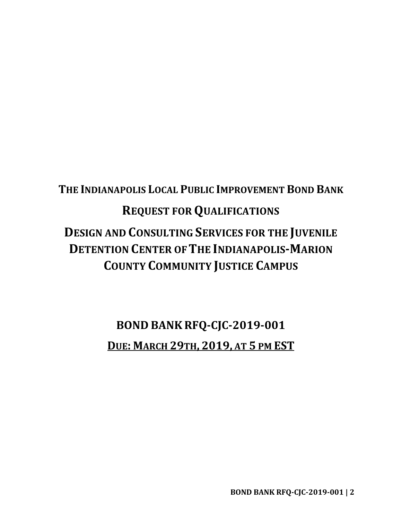### **THE INDIANAPOLIS LOCAL PUBLIC IMPROVEMENT BOND BANK REQUEST FOR QUALIFICATIONS DESIGN AND CONSULTING SERVICES FOR THE JUVENILE DETENTION CENTER OFTHE INDIANAPOLIS-MARION COUNTY COMMUNITY JUSTICE CAMPUS**

### **BOND BANK RFQ-CJC-2019-001 DUE: MARCH 29TH, 2019, AT 5 PM EST**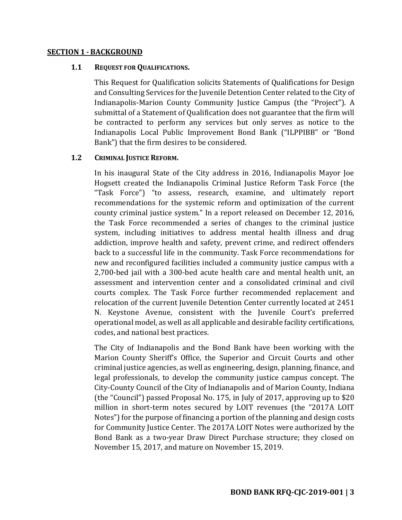#### **SECTION 1 - BACKGROUND**

#### **1.1 REQUEST FOR QUALIFICATIONS.**

This Request for Qualification solicits Statements of Qualifications for Design and Consulting Services for the Juvenile Detention Center related to the City of Indianapolis-Marion County Community Justice Campus (the "Project"). A submittal of a Statement of Qualification does not guarantee that the firm will be contracted to perform any services but only serves as notice to the Indianapolis Local Public Improvement Bond Bank ("ILPPIBB" or "Bond Bank") that the firm desires to be considered.

#### **1.2 CRIMINAL JUSTICE REFORM.**

In his inaugural State of the City address in 2016, Indianapolis Mayor Joe Hogsett created the Indianapolis Criminal Justice Reform Task Force (the "Task Force") "to assess, research, examine, and ultimately report recommendations for the systemic reform and optimization of the current county criminal justice system." In a report released on December 12, 2016, the Task Force recommended a series of changes to the criminal justice system, including initiatives to address mental health illness and drug addiction, improve health and safety, prevent crime, and redirect offenders back to a successful life in the community. Task Force recommendations for new and reconfigured facilities included a community justice campus with a 2,700-bed jail with a 300-bed acute health care and mental health unit, an assessment and intervention center and a consolidated criminal and civil courts complex. The Task Force further recommended replacement and relocation of the current Juvenile Detention Center currently located at 2451 N. Keystone Avenue, consistent with the Juvenile Court's preferred operational model, as well as all applicable and desirable facility certifications, codes, and national best practices.

The City of Indianapolis and the Bond Bank have been working with the Marion County Sheriff's Office, the Superior and Circuit Courts and other criminal justice agencies, as well as engineering, design, planning, finance, and legal professionals, to develop the community justice campus concept. The City-County Council of the City of Indianapolis and of Marion County, Indiana (the "Council") passed Proposal No. 175, in July of 2017, approving up to \$20 million in short-term notes secured by LOIT revenues (the "2017A LOIT Notes") for the purpose of financing a portion of the planning and design costs for Community Justice Center. The 2017A LOIT Notes were authorized by the Bond Bank as a two-year Draw Direct Purchase structure; they closed on November 15, 2017, and mature on November 15, 2019.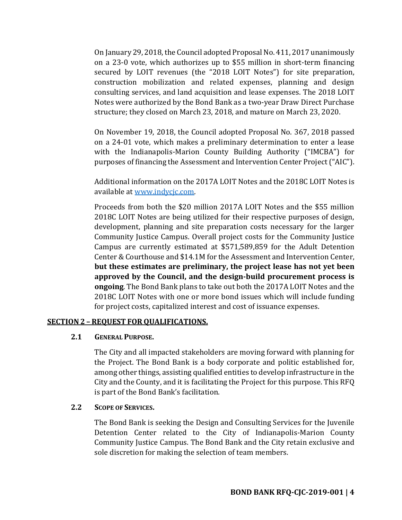On January 29, 2018, the Council adopted Proposal No. 411, 2017 unanimously on a 23-0 vote, which authorizes up to \$55 million in short-term financing secured by LOIT revenues (the "2018 LOIT Notes") for site preparation, construction mobilization and related expenses, planning and design consulting services, and land acquisition and lease expenses. The 2018 LOIT Notes were authorized by the Bond Bank as a two-year Draw Direct Purchase structure; they closed on March 23, 2018, and mature on March 23, 2020.

On November 19, 2018, the Council adopted Proposal No. 367, 2018 passed on a 24-01 vote, which makes a preliminary determination to enter a lease with the Indianapolis-Marion County Building Authority ("IMCBA") for purposes of financing the Assessment and Intervention Center Project ("AIC").

Additional information on the 2017A LOIT Notes and the 2018C LOIT Notes is available at [www.indycjc.com.](http://www.indycjc.com/)

Proceeds from both the \$20 million 2017A LOIT Notes and the \$55 million 2018C LOIT Notes are being utilized for their respective purposes of design, development, planning and site preparation costs necessary for the larger Community Justice Campus. Overall project costs for the Community Justice Campus are currently estimated at \$571,589,859 for the Adult Detention Center & Courthouse and \$14.1M for the Assessment and Intervention Center, **but these estimates are preliminary, the project lease has not yet been approved by the Council, and the design-build procurement process is ongoing**. The Bond Bank plans to take out both the 2017A LOIT Notes and the 2018C LOIT Notes with one or more bond issues which will include funding for project costs, capitalized interest and cost of issuance expenses.

#### **SECTION 2 – REQUEST FORQUALIFICATIONS.**

#### **2.1 GENERAL PURPOSE.**

The City and all impacted stakeholders are moving forward with planning for the Project. The Bond Bank is a body corporate and politic established for, among other things, assisting qualified entities to develop infrastructure in the City and the County, and it is facilitating the Project for this purpose. This RFQ is part of the Bond Bank's facilitation.

#### **2.2 SCOPE OF SERVICES.**

The Bond Bank is seeking the Design and Consulting Services for the Juvenile Detention Center related to the City of Indianapolis-Marion County Community Justice Campus. The Bond Bank and the City retain exclusive and sole discretion for making the selection of team members.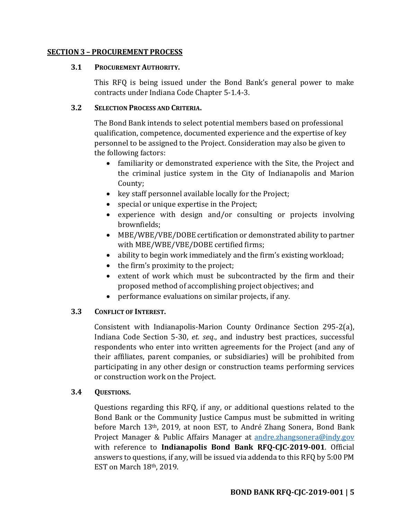#### **SECTION 3 – PROCUREMENT PROCESS**

#### **3.1 PROCUREMENT AUTHORITY.**

This RFQ is being issued under the Bond Bank's general power to make contracts under Indiana Code Chapter 5-1.4-3.

#### **3.2 SELECTION PROCESS AND CRITERIA.**

The Bond Bank intends to select potential members based on professional qualification, competence, documented experience and the expertise of key personnel to be assigned to the Project. Consideration may also be given to the following factors:

- familiarity or demonstrated experience with the Site, the Project and the criminal justice system in the City of Indianapolis and Marion County;
- key staff personnel available locally for the Project;
- special or unique expertise in the Project;
- experience with design and/or consulting or projects involving brownfields;
- MBE/WBE/VBE/DOBE certification or demonstrated ability to partner with MBE/WBE/VBE/DOBE certified firms;
- ability to begin work immediately and the firm's existing workload;
- the firm's proximity to the project;
- extent of work which must be subcontracted by the firm and their proposed method of accomplishing project objectives; and
- performance evaluations on similar projects, if any.

#### **3.3 CONFLICT OF INTEREST.**

Consistent with Indianapolis-Marion County Ordinance Section 295-2(a), Indiana Code Section 5-30, *et. seq*., and industry best practices, successful respondents who enter into written agreements for the Project (and any of their affiliates, parent companies, or subsidiaries) will be prohibited from participating in any other design or construction teams performing services or construction work on the Project.

#### **3.4 QUESTIONS.**

Questions regarding this RFQ, if any, or additional questions related to the Bond Bank or the Community Justice Campus must be submitted in writing before March 13th, 2019, at noon EST, to André Zhang Sonera, Bond Bank Project Manager & Public Affairs Manager at [andre.zhangsonera@indy.gov](mailto:andre.zhangsonera@indy.gov) with reference to **Indianapolis Bond Bank RFQ-CJC-2019-001**. Official answers to questions, if any, will be issued via addenda to this RFQ by 5:00 PM EST on March 18th, 2019.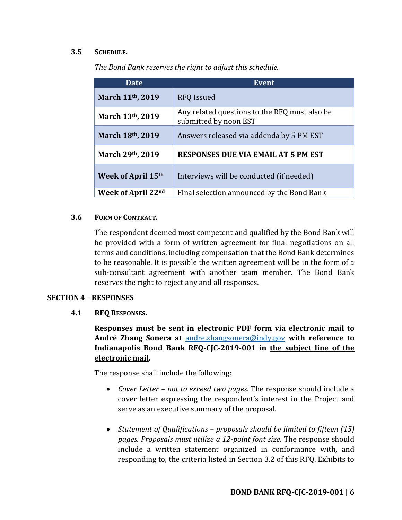#### **3.5 SCHEDULE.**

| Date               | <b>Event</b>                                                           |
|--------------------|------------------------------------------------------------------------|
| March 11th, 2019   | <b>RFQ</b> Issued                                                      |
| March 13th, 2019   | Any related questions to the RFQ must also be<br>submitted by noon EST |
| March 18th, 2019   | Answers released via addenda by 5 PM EST                               |
| March 29th, 2019   | <b>RESPONSES DUE VIA EMAIL AT 5 PM EST</b>                             |
| Week of April 15th | Interviews will be conducted (if needed)                               |
| Week of April 22nd | Final selection announced by the Bond Bank                             |

*The Bond Bank reserves the right to adjust this schedule.* 

#### **3.6 FORM OF CONTRACT.**

The respondent deemed most competent and qualified by the Bond Bank will be provided with a form of written agreement for final negotiations on all terms and conditions, including compensation that the Bond Bank determines to be reasonable. It is possible the written agreement will be in the form of a sub-consultant agreement with another team member. The Bond Bank reserves the right to reject any and all responses.

#### **SECTION 4 – RESPONSES**

**4.1 RFQ RESPONSES.**

**Responses must be sent in electronic PDF form via electronic mail to André Zhang Sonera at** [andre.zhangsonera@indy.gov](mailto:andre.zhangsonera@indy.gov) **with reference to Indianapolis Bond Bank RFQ-CJC-2019-001 in the subject line of the electronic mail.** 

The response shall include the following:

- *Cover Letter – not to exceed two pages.* The response should include a cover letter expressing the respondent's interest in the Project and serve as an executive summary of the proposal.
- *Statement of Qualifications – proposals should be limited to fifteen (15) pages. Proposals must utilize a 12-point font size.* The response should include a written statement organized in conformance with, and responding to, the criteria listed in Section 3.2 of this RFQ. Exhibits to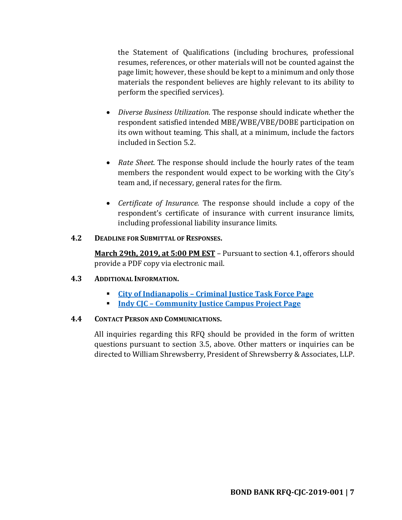the Statement of Qualifications (including brochures, professional resumes, references, or other materials will not be counted against the page limit; however, these should be kept to a minimum and only those materials the respondent believes are highly relevant to its ability to perform the specified services).

- *Diverse Business Utilization.* The response should indicate whether the respondent satisfied intended MBE/WBE/VBE/DOBE participation on its own without teaming. This shall, at a minimum, include the factors included in Section 5.2.
- *Rate Sheet.* The response should include the hourly rates of the team members the respondent would expect to be working with the City's team and, if necessary, general rates for the firm.
- *Certificate of Insurance.* The response should include a copy of the respondent's certificate of insurance with current insurance limits, including professional liability insurance limits.

#### **4.2 DEADLINE FOR SUBMITTAL OF RESPONSES.**

**March 29th, 2019, at 5:00 PM EST** – Pursuant to section 4.1, offerors should provide a PDF copy via electronic mail.

#### **4.3 ADDITIONAL INFORMATION.**

- **City of Indianapolis – [Criminal Justice Task Force Page](https://my.indy.gov/activity/criminal-justice-reform-task-force)**
- **Indy CJC – [Community Justice Campus Project Page](https://indycjc.com/)**

#### **4.4 CONTACT PERSON AND COMMUNICATIONS.**

All inquiries regarding this RFQ should be provided in the form of written questions pursuant to section 3.5, above. Other matters or inquiries can be directed to William Shrewsberry, President of Shrewsberry & Associates, LLP.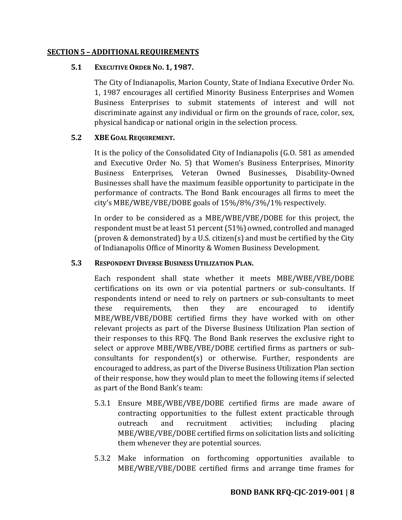#### **SECTION 5 – ADDITIONAL REQUIREMENTS**

#### **5.1 EXECUTIVE ORDER NO. 1, 1987.**

The City of Indianapolis, Marion County, State of Indiana Executive Order No. 1, 1987 encourages all certified Minority Business Enterprises and Women Business Enterprises to submit statements of interest and will not discriminate against any individual or firm on the grounds of race, color, sex, physical handicap or national origin in the selection process.

#### **5.2 XBE GOAL REQUIREMENT.**

It is the policy of the Consolidated City of Indianapolis (G.O. 581 as amended and Executive Order No. 5) that Women's Business Enterprises, Minority Business Enterprises, Veteran Owned Businesses, Disability-Owned Businesses shall have the maximum feasible opportunity to participate in the performance of contracts. The Bond Bank encourages all firms to meet the city's MBE/WBE/VBE/DOBE goals of 15%/8%/3%/1% respectively.

In order to be considered as a MBE/WBE/VBE/DOBE for this project, the respondent must be at least 51 percent (51%) owned, controlled and managed (proven & demonstrated) by a U.S. citizen(s) and must be certified by the City of Indianapolis Office of Minority & Women Business Development.

#### **5.3 RESPONDENT DIVERSE BUSINESS UTILIZATION PLAN.**

Each respondent shall state whether it meets MBE/WBE/VBE/DOBE certifications on its own or via potential partners or sub-consultants. If respondents intend or need to rely on partners or sub-consultants to meet these requirements, then they are encouraged to identify MBE/WBE/VBE/DOBE certified firms they have worked with on other relevant projects as part of the Diverse Business Utilization Plan section of their responses to this RFQ. The Bond Bank reserves the exclusive right to select or approve MBE/WBE/VBE/DOBE certified firms as partners or subconsultants for respondent(s) or otherwise. Further, respondents are encouraged to address, as part of the Diverse Business Utilization Plan section of their response, how they would plan to meet the following items if selected as part of the Bond Bank's team:

- 5.3.1 Ensure MBE/WBE/VBE/DOBE certified firms are made aware of contracting opportunities to the fullest extent practicable through outreach and recruitment activities; including placing MBE/WBE/VBE/DOBE certified firms on solicitation lists and soliciting them whenever they are potential sources.
- 5.3.2 Make information on forthcoming opportunities available to MBE/WBE/VBE/DOBE certified firms and arrange time frames for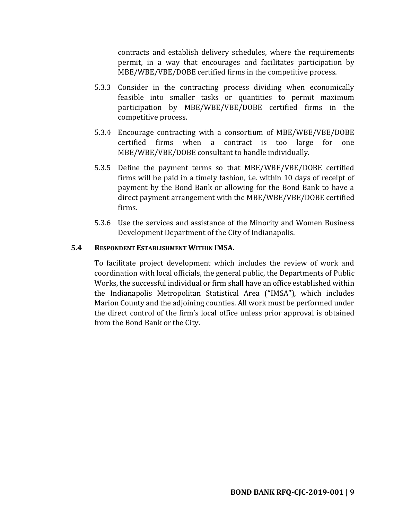contracts and establish delivery schedules, where the requirements permit, in a way that encourages and facilitates participation by MBE/WBE/VBE/DOBE certified firms in the competitive process.

- 5.3.3 Consider in the contracting process dividing when economically feasible into smaller tasks or quantities to permit maximum participation by MBE/WBE/VBE/DOBE certified firms in the competitive process.
- 5.3.4 Encourage contracting with a consortium of MBE/WBE/VBE/DOBE certified firms when a contract is too large for one MBE/WBE/VBE/DOBE consultant to handle individually.
- 5.3.5 Define the payment terms so that MBE/WBE/VBE/DOBE certified firms will be paid in a timely fashion, i.e. within 10 days of receipt of payment by the Bond Bank or allowing for the Bond Bank to have a direct payment arrangement with the MBE/WBE/VBE/DOBE certified firms.
- 5.3.6 Use the services and assistance of the Minority and Women Business Development Department of the City of Indianapolis.

#### **5.4 RESPONDENT ESTABLISHMENT WITHIN IMSA.**

To facilitate project development which includes the review of work and coordination with local officials, the general public, the Departments of Public Works, the successful individual or firm shall have an office established within the Indianapolis Metropolitan Statistical Area ("IMSA"), which includes Marion County and the adjoining counties. All work must be performed under the direct control of the firm's local office unless prior approval is obtained from the Bond Bank or the City.